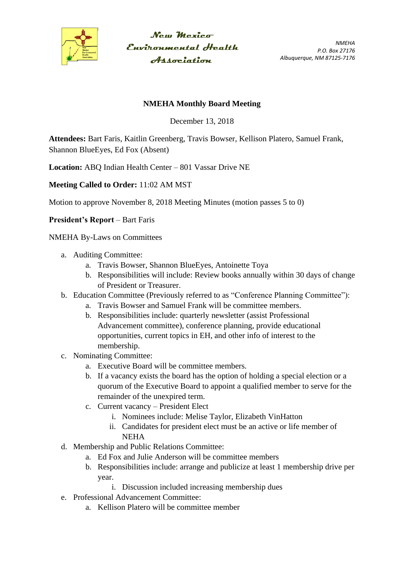

 $N_{CUT}$  Mexica Environmental Health Association

*NMEHA P.O. Box 27176 Albuquerque, NM 87125-7176*

## **NMEHA Monthly Board Meeting**

December 13, 2018

**Attendees:** Bart Faris, Kaitlin Greenberg, Travis Bowser, Kellison Platero, Samuel Frank, Shannon BlueEyes, Ed Fox (Absent)

**Location:** ABQ Indian Health Center – 801 Vassar Drive NE

**Meeting Called to Order:** 11:02 AM MST

Motion to approve November 8, 2018 Meeting Minutes (motion passes 5 to 0)

**President's Report** – Bart Faris

NMEHA By-Laws on Committees

- a. Auditing Committee:
	- a. Travis Bowser, Shannon BlueEyes, Antoinette Toya
	- b. Responsibilities will include: Review books annually within 30 days of change of President or Treasurer.
- b. Education Committee (Previously referred to as "Conference Planning Committee"):
	- a. Travis Bowser and Samuel Frank will be committee members.
	- b. Responsibilities include: quarterly newsletter (assist Professional Advancement committee), conference planning, provide educational opportunities, current topics in EH, and other info of interest to the membership.
- c. Nominating Committee:
	- a. Executive Board will be committee members.
	- b. If a vacancy exists the board has the option of holding a special election or a quorum of the Executive Board to appoint a qualified member to serve for the remainder of the unexpired term.
	- c. Current vacancy President Elect
		- i. Nominees include: Melise Taylor, Elizabeth VinHatton
		- ii. Candidates for president elect must be an active or life member of NEHA
- d. Membership and Public Relations Committee:
	- a. Ed Fox and Julie Anderson will be committee members
	- b. Responsibilities include: arrange and publicize at least 1 membership drive per year.
		- i. Discussion included increasing membership dues
- e. Professional Advancement Committee:
	- a. Kellison Platero will be committee member